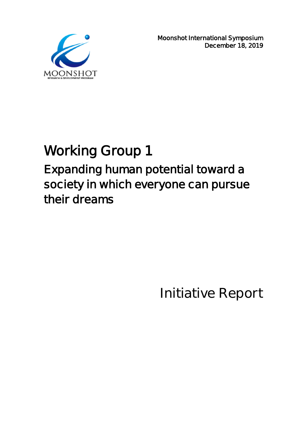

**Moonshot International Symposium December 18, 2019** 

# **Working Group 1 Expanding human potential toward a society in which everyone can pursue their dreams**

**Initiative Report**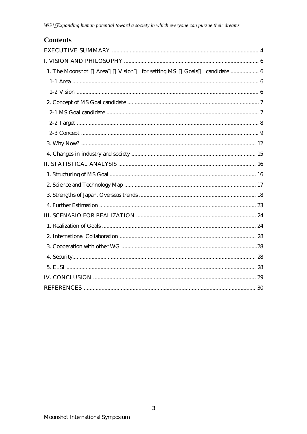## **Contents**

|  |  | 1. The Moonshot Area Vision for setting MS Goals candidate  6 |
|--|--|---------------------------------------------------------------|
|  |  |                                                               |
|  |  |                                                               |
|  |  |                                                               |
|  |  |                                                               |
|  |  |                                                               |
|  |  |                                                               |
|  |  |                                                               |
|  |  |                                                               |
|  |  |                                                               |
|  |  |                                                               |
|  |  |                                                               |
|  |  |                                                               |
|  |  |                                                               |
|  |  |                                                               |
|  |  |                                                               |
|  |  |                                                               |
|  |  |                                                               |
|  |  |                                                               |
|  |  |                                                               |
|  |  |                                                               |
|  |  |                                                               |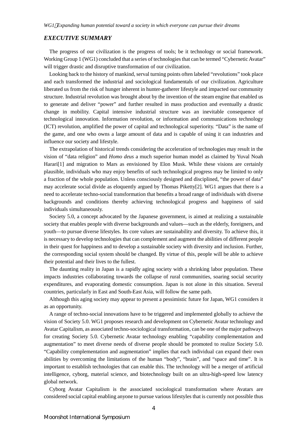### *EXECUTIVE SUMMARY*

The progress of our civilization is the progress of tools; be it technology or social framework. Working Group 1 (WG1) concluded that a series of technologies that can be termed "Cybernetic Avatar" will trigger drastic and disruptive transformation of our civilization.

Looking back to the history of mankind, serval turning points often labeled "revolutions" took place and each transformed the industrial and sociological fundamentals of our civilization. Agriculture liberated us from the risk of hunger inherent in hunter-gatherer lifestyle and impacted our community structure. Industrial revolution was brought about by the invention of the steam engine that enabled us to generate and deliver "power" and further resulted in mass production and eventually a drastic change in mobility. Capital intensive industrial structure was an inevitable consequence of technological innovation. Information revolution, or information and communications technology (ICT) revolution, amplified the power of capital and technological superiority. "Data" is the name of the game, and one who owns a large amount of data and is capable of using it can industries and influence our society and lifestyle.

The extrapolation of historical trends considering the acceleration of technologies may result in the vision of "data religion" and *Homo deus* a much superior human model as claimed by Yuval Noah Harari<sup>[1]</sup> and migration to Mars as envisioned by Elon Musk. While these visions are certainly plausible, individuals who may enjoy benefits of such technological progress may be limited to only a fraction of the whole population. Unless consciously designed and disciplined, "the power of data" may accelerate social divide as eloquently argued by Thomas Piketty[2]. WG1 argues that there is a need to accelerate techno-social transformation that benefits a broad range of individuals with diverse backgrounds and conditions thereby achieving technological progress and happiness of said individuals simultaneously.

Society 5.0, a concept advocated by the Japanese government, is aimed at realizing a sustainable society that enables people with diverse backgrounds and values—such as the elderly, foreigners, and youth—to pursue diverse lifestyles. Its core values are sustainability and diversity. To achieve this, it is necessary to develop technologies that can complement and augment the abilities of different people in their quest for happiness and to develop a sustainable society with diversity and inclusion. Further, the corresponding social system should be changed. By virtue of this, people will be able to achieve their potential and their lives to the fullest.

The daunting reality in Japan is a rapidly aging society with a shrinking labor population. These impacts industries collaborating towards the collapse of rural communities, soaring social security expenditures, and evaporating domestic consumption. Japan is not alone in this situation. Several countries, particularly in East and South-East Asia, will follow the same path.

Although this aging society may appear to present a pessimistic future for Japan, WG1 considers it as an opportunity.

A range of techno-social innovations have to be triggered and implemented globally to achieve the vision of Society 5.0. WG1 proposes research and development on Cybernetic Avatar technology and Avatar Capitalism, as associated techno-sociological transformation, can be one of the major pathways for creating Society 5.0. Cybernetic Avatar technology enabling "capability complementation and augmentation" to meet diverse needs of diverse people should be promoted to realize Society 5.0. "Capability complementation and augmentation" implies that each individual can expand their own abilities by overcoming the limitations of the human "body", "brain", and "space and time". It is important to establish technologies that can enable this. The technology will be a merger of artificial intelligence, cyborg, material science, and biotechnology built on an ultra-high-speed low latency global network.

Cyborg Avatar Capitalism is the associated sociological transformation where Avatars are considered social capital enabling anyone to pursue various lifestyles that is currently not possible thus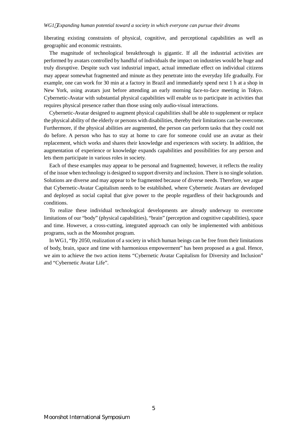liberating existing constraints of physical, cognitive, and perceptional capabilities as well as geographic and economic restraints.

The magnitude of technological breakthrough is gigantic. If all the industrial activities are performed by avatars controlled by handful of individuals the impact on industries would be huge and truly disruptive. Despite such vast industrial impact, actual immediate effect on individual citizens may appear somewhat fragmented and minute as they penetrate into the everyday life gradually. For example, one can work for 30 min at a factory in Brazil and immediately spend next 1 h at a shop in New York, using avatars just before attending an early morning face-to-face meeting in Tokyo. Cybernetic-Avatar with substantial physical capabilities will enable us to participate in activities that requires physical presence rather than those using only audio-visual interactions.

Cybernetic-Avatar designed to augment physical capabilities shall be able to supplement or replace the physical ability of the elderly or persons with disabilities, thereby their limitations can be overcome. Furthermore, if the physical abilities are augmented, the person can perform tasks that they could not do before. A person who has to stay at home to care for someone could use an avatar as their replacement, which works and shares their knowledge and experiences with society. In addition, the augmentation of experience or knowledge expands capabilities and possibilities for any person and lets them participate in various roles in society.

Each of these examples may appear to be personal and fragmented; however, it reflects the reality of the issue when technology is designed to support diversity and inclusion. There is no single solution. Solutions are diverse and may appear to be fragmented because of diverse needs. Therefore, we argue that Cybernetic-Avatar Capitalism needs to be established, where Cybernetic Avatars are developed and deployed as social capital that give power to the people regardless of their backgrounds and conditions.

To realize these individual technological developments are already underway to overcome limitations of our "body" (physical capabilities), "brain" (perception and cognitive capabilities), space and time. However, a cross-cutting, integrated approach can only be implemented with ambitious programs, such as the Moonshot program.

In WG1, "By 2050, realization of a society in which human beings can be free from their limitations of body, brain, space and time with harmonious empowerment" has been proposed as a goal. Hence, we aim to achieve the two action items "Cybernetic Avatar Capitalism for Diversity and Inclusion" and "Cybernetic Avatar Life".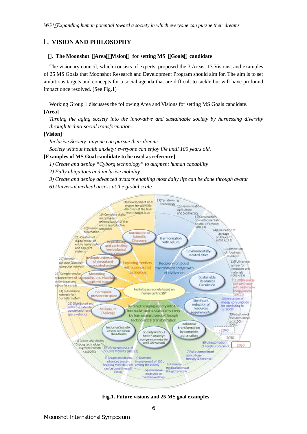## I. **VISION AND PHILOSOPHY**

#### 1**. The Moonshot** 「**Area**」「**Vision**」 **for setting MS** 「**Goals**」 **candidate**

The visionary council, which consists of experts, proposed the 3 Areas, 13 Visions, and examples of 25 MS Goals that Moonshot Research and Development Program should aim for. The aim is to set ambitious targets and concepts for a social agenda that are difficult to tackle but will have profound impact once resolved. (See Fig.1)

Working Group 1 discusses the following Area and Visions for setting MS Goals candidate.

#### **[Area]**

*Turning the aging society into the innovative and sustainable society by harnessing diversity through techno-social transformation*.

#### **[Vision]**

*Inclusive Society: anyone can pursue their dreams.*

*Society without health anxiety: everyone can enjoy life until 100 years old.*

#### **[Examples of MS Goal candidate to be used as reference]**

*1) Create and deploy "Cyborg technology" to augment human capability*

- *2) Fully ubiquitous and inclusive mobility*
- *3) Create and deploy advanced avatars enabling most daily life can be done through avatar*

*6) Universal medical access at the global scale*



**Fig.1. Future visions and 25 MS goal examples**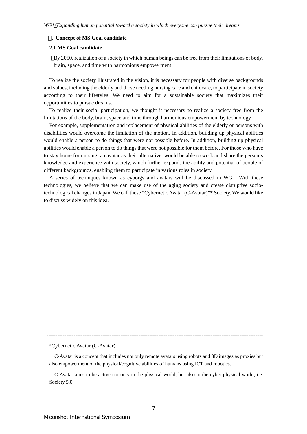#### 2**. Concept of MS Goal candidate**

#### **2.1 MS Goal candidate**

By 2050, realization of a society in which human beings can be free from their limitations of body, brain, space, and time with harmonious empowerment.

To realize the society illustrated in the vision, it is necessary for people with diverse backgrounds and values, including the elderly and those needing nursing care and childcare, to participate in society according to their lifestyles. We need to aim for a sustainable society that maximizes their opportunities to pursue dreams.

To realize their social participation, we thought it necessary to realize a society free from the limitations of the body, brain, space and time through harmonious empowerment by technology.

For example, supplementation and replacement of physical abilities of the elderly or persons with disabilities would overcome the limitation of the motion. In addition, building up physical abilities would enable a person to do things that were not possible before. In addition, building up physical abilities would enable a person to do things that were not possible for them before. For those who have to stay home for nursing, an avatar as their alternative, would be able to work and share the person's knowledge and experience with society, which further expands the ability and potential of people of different backgrounds, enabling them to participate in various roles in society.

A series of techniques known as cyborgs and avatars will be discussed in WG1. With these technologies, we believe that we can make use of the aging society and create disruptive sociotechnological changes in Japan. We call these "Cybernetic Avatar (C-Avatar)"\* Society. We would like to discuss widely on this idea.

------------------------------------------------------------------------------------------------------------------------

\*Cybernetic Avatar (C-Avatar)

C-Avatar is a concept that includes not only remote avatars using robots and 3D images as proxies but also empowerment of the physical/cognitive abilities of humans using ICT and robotics.

C-Avatar aims to be active not only in the physical world, but also in the cyber-physical world, i.e. Society 5.0.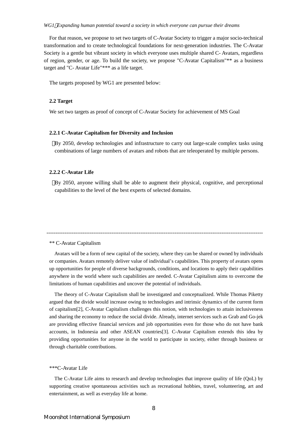For that reason, we propose to set two targets of C-Avatar Society to trigger a major socio-technical transformation and to create technological foundations for next-generation industries. The C-Avatar Society is a gentle but vibrant society in which everyone uses multiple shared C- Avatars, regardless of region, gender, or age. To build the society, we propose "C-Avatar Capitalism"\*\* as a business target and "C- Avatar Life"\*\*\* as a life target.

The targets proposed by WG1 are presented below:

#### **2.2 Target**

We set two targets as proof of concept of C-Avatar Society for achievement of MS Goal

#### **2.2.1 C-Avatar Capitalism for Diversity and Inclusion**

By 2050, develop technologies and infrastructure to carry out large-scale complex tasks using combinations of large numbers of avatars and robots that are teleoperated by multiple persons.

#### **2.2.2 C-Avatar Life**

By 2050, anyone willing shall be able to augment their physical, cognitive, and perceptional capabilities to the level of the best experts of selected domains.

#### \*\* C-Avatar Capitalism

Avatars will be a form of new capital of the society, where they can be shared or owned by individuals or companies. Avatars remotely deliver value of individual's capabilities. This property of avatars opens up opportunities for people of diverse backgrounds, conditions, and locations to apply their capabilities anywhere in the world where such capabilities are needed. C-Avatar Capitalism aims to overcome the limitations of human capabilities and uncover the potential of individuals.

------------------------------------------------------------------------------------------------------------------------

The theory of C-Avatar Capitalism shall be investigated and conceptualized. While Thomas Piketty argued that the divide would increase owing to technologies and intrinsic dynamics of the current form of capitalism[2], C-Avatar Capitalism challenges this notion, with technologies to attain inclusiveness and sharing the economy to reduce the social divide. Already, internet services such as Grab and Go-jek are providing effective financial services and job opportunities even for those who do not have bank accounts, in Indonesia and other ASEAN countries[3]. C-Avatar Capitalism extends this idea by providing opportunities for anyone in the world to participate in society, either through business or through charitable contributions.

#### \*\*\*C-Avatar Life

The C-Avatar Life aims to research and develop technologies that improve quality of life (QoL) by supporting creative spontaneous activities such as recreational hobbies, travel, volunteering, art and entertainment, as well as everyday life at home.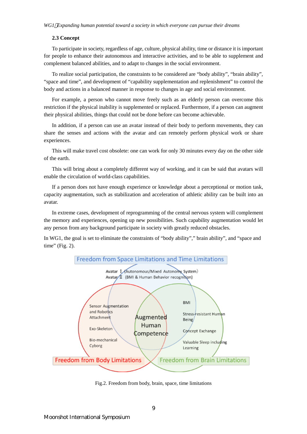## **2.3 Concept**

To participate in society, regardless of age, culture, physical ability, time or distance it is important for people to enhance their autonomous and interactive activities, and to be able to supplement and complement balanced abilities, and to adapt to changes in the social environment.

To realize social participation, the constraints to be considered are "body ability", "brain ability", "space and time", and development of "capability supplementation and replenishment" to control the body and actions in a balanced manner in response to changes in age and social environment.

For example, a person who cannot move freely such as an elderly person can overcome this restriction if the physical inability is supplemented or replaced. Furthermore, if a person can augment their physical abilities, things that could not be done before can become achievable.

In addition, if a person can use an avatar instead of their body to perform movements, they can share the senses and actions with the avatar and can remotely perform physical work or share experiences.

This will make travel cost obsolete: one can work for only 30 minutes every day on the other side of the earth.

This will bring about a completely different way of working, and it can be said that avatars will enable the circulation of world-class capabilities.

If a person does not have enough experience or knowledge about a perceptional or motion task, capacity augmentation, such as stabilization and acceleration of athletic ability can be built into an avatar.

In extreme cases, development of reprogramming of the central nervous system will complement the memory and experiences, opening up new possibilities. Such capability augmentation would let any person from any background participate in society with greatly reduced obstacles.

In WG1, the goal is set to eliminate the constraints of "body ability"," brain ability", and "space and time" (Fig. 2).



Fig.2. Freedom from body, brain, space, time limitations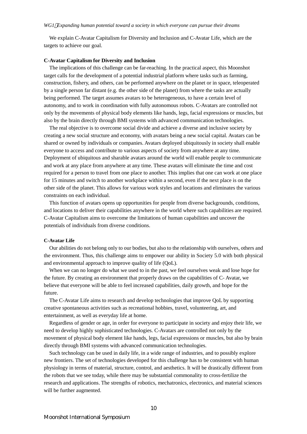We explain C-Avatar Capitalism for Diversity and Inclusion and C-Avatar Life, which are the targets to achieve our goal.

#### **C-Avatar Capitalism for Diversity and Inclusion**

The implications of this challenge can be far-reaching. In the practical aspect, this Moonshot target calls for the development of a potential industrial platform where tasks such as farming, construction, fishery, and others, can be performed anywhere on the planet or in space, teleoperated by a single person far distant (e.g. the other side of the planet) from where the tasks are actually being performed. The target assumes avatars to be heterogeneous, to have a certain level of autonomy, and to work in coordination with fully autonomous robots. C-Avatars are controlled not only by the movements of physical body elements like hands, legs, facial expressions or muscles, but also by the brain directly through BMI systems with advanced communication technologies.

The real objective is to overcome social divide and achieve a diverse and inclusive society by creating a new social structure and economy, with avatars being a new social capital. Avatars can be shared or owned by individuals or companies. Avatars deployed ubiquitously in society shall enable everyone to access and contribute to various aspects of society from anywhere at any time. Deployment of ubiquitous and sharable avatars around the world will enable people to communicate and work at any place from anywhere at any time. These avatars will eliminate the time and cost required for a person to travel from one place to another. This implies that one can work at one place for 15 minutes and switch to another workplace within a second, even if the next place is on the other side of the planet. This allows for various work styles and locations and eliminates the various constraints on each individual.

This function of avatars opens up opportunities for people from diverse backgrounds, conditions, and locations to deliver their capabilities anywhere in the world where such capabilities are required. C-Avatar Capitalism aims to overcome the limitations of human capabilities and uncover the potentials of individuals from diverse conditions.

#### **C-Avatar Life**

Our abilities do not belong only to our bodies, but also to the relationship with ourselves, others and the environment. Thus, this challenge aims to empower our ability in Society 5.0 with both physical and environmental approach to improve quality of life (QoL).

When we can no longer do what we used to in the past, we feel ourselves weak and lose hope for the future. By creating an environment that properly draws on the capabilities of C- Avatar, we believe that everyone will be able to feel increased capabilities, daily growth, and hope for the future.

The C-Avatar Life aims to research and develop technologies that improve QoL by supporting creative spontaneous activities such as recreational hobbies, travel, volunteering, art, and entertainment, as well as everyday life at home.

Regardless of gender or age, in order for everyone to participate in society and enjoy their life, we need to develop highly sophisticated technologies. C-Avatars are controlled not only by the movement of physical body element like hands, legs, facial expressions or muscles, but also by brain directly through BMI systems with advanced communication technologies.

Such technology can be used in daily life, in a wide range of industries, and to possibly explore new frontiers. The set of technologies developed for this challenge has to be consistent with human physiology in terms of material, structure, control, and aesthetics. It will be drastically different from the robots that we see today, while there may be substantial commonality to cross-fertilize the research and applications. The strengths of robotics, mechatronics, electronics, and material sciences will be further augmented.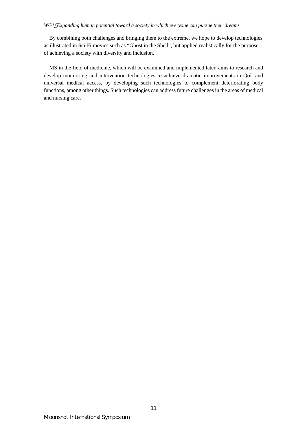By combining both challenges and bringing them to the extreme, we hope to develop technologies as illustrated in Sci-Fi movies such as "Ghost in the Shell", but applied realistically for the purpose of achieving a society with diversity and inclusion.

MS in the field of medicine, which will be examined and implemented later, aims to research and develop monitoring and intervention technologies to achieve dramatic improvements in QoL and universal medical access, by developing such technologies to complement deteriorating body functions, among other things. Such technologies can address future challenges in the areas of medical and nursing care.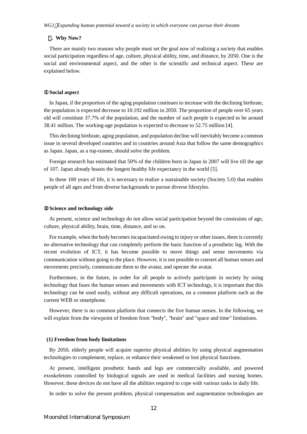#### 3**. Why Now?**

There are mainly two reasons why people must set the goal now of realizing a society that enables social participation regardless of age, culture, physical ability, time, and distance, by 2050. One is the social and environmental aspect, and the other is the scientific and technical aspect. These are explained below.

#### **Social aspect**

In Japan, if the proportion of the aging population continues to increase with the declining birthrate, the population is expected decrease to 10.192 million in 2050. The proportion of people over 65 years old will constitute 37.7% of the population, and the number of such people is expected to be around 38.41 million. The working-age population is expected to decrease to 52.75 million [4].

This declining birthrate, aging population, and population decline will inevitably become a common issue in several developed countries and in countries around Asia that follow the same demographics as Japan. Japan, as a top-runner, should solve the problem.

Foreign research has estimated that 50% of the children born in Japan in 2007 will live till the age of 107. Japan already boasts the longest healthy life expectancy in the world [5].

In these 100 years of life, it is necessary to realize a sustainable society (Society 5.0) that enables people of all ages and from diverse backgrounds to pursue diverse lifestyles.

#### **Science and technology side**

At present, science and technology do not allow social participation beyond the constraints of age, culture, physical ability, brain, time, distance, and so on.

For example, when the body becomes incapacitated owing to injury or other issues, there is currently no alternative technology that can completely perform the basic function of a prosthetic leg. With the recent evolution of ICT, it has become possible to move things and sense movements via communication without going to the place. However, it is not possible to convert all human senses and movements precisely, communicate them to the avatar, and operate the avatar.

Furthermore, in the future, in order for all people to actively participate in society by using technology that fuses the human senses and movements with ICT technology, it is important that this technology can be used easily, without any difficult operations, on a common platform such as the current WEB or smartphone.

However, there is no common platform that connects the five human senses. In the following, we will explain from the viewpoint of freedom from "body", "brain" and "space and time" limitations.

#### **(1) Freedom from body limitations**

By 2050, elderly people will acquire superior physical abilities by using physical augmentation technologies to complement, replace, or enhance their weakened or lost physical functions.

At present, intelligent prosthetic hands and legs are commercially available, and powered exoskeletons controlled by biological signals are used in medical facilities and nursing homes. However, these devices do not have all the abilities required to cope with various tasks in daily life.

In order to solve the present problem, physical compensation and augmentation technologies are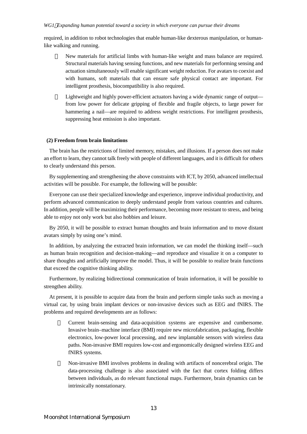required, in addition to robot technologies that enable human-like dexterous manipulation, or humanlike walking and running.

New materials for artificial limbs with human-like weight and mass balance are required. Structural materials having sensing functions, and new materials for performing sensing and actuation simultaneously will enable significant weight reduction. For avatars to coexist and with humans, soft materials that can ensure safe physical contact are important. For intelligent prosthesis, biocompatibility is also required.

Lightweight and highly power-efficient actuators having a wide dynamic range of output from low power for delicate gripping of flexible and fragile objects, to large power for hammering a nail—are required to address weight restrictions. For intelligent prosthesis, suppressing heat emission is also important.

#### **(2) Freedom from brain limitations**

The brain has the restrictions of limited memory, mistakes, and illusions. If a person does not make an effort to learn, they cannot talk freely with people of different languages, and it is difficult for others to clearly understand this person.

By supplementing and strengthening the above constraints with ICT, by 2050, advanced intellectual activities will be possible. For example, the following will be possible:

Everyone can use their specialized knowledge and experience, improve individual productivity, and perform advanced communication to deeply understand people from various countries and cultures. In addition, people will be maximizing their performance, becoming more resistant to stress, and being able to enjoy not only work but also hobbies and leisure.

By 2050, it will be possible to extract human thoughts and brain information and to move distant avatars simply by using one's mind.

In addition, by analyzing the extracted brain information, we can model the thinking itself—such as human brain recognition and decision-making—and reproduce and visualize it on a computer to share thoughts and artificially improve the model. Thus, it will be possible to realize brain functions that exceed the cognitive thinking ability.

Furthermore, by realizing bidirectional communication of brain information, it will be possible to strengthen ability.

At present, it is possible to acquire data from the brain and perform simple tasks such as moving a virtual car, by using brain implant devices or non-invasive devices such as EEG and fNIRS. The problems and required developments are as follows:

> Current brain-sensing and data-acquisition systems are expensive and cumbersome. Invasive brain–machine interface (BMI) require new microfabrication, packaging, flexible electronics, low-power local processing, and new implantable sensors with wireless data paths. Non-invasive BMI requires low-cost and ergonomically designed wireless EEG and fNIRS systems.

> Non-invasive BMI involves problems in dealing with artifacts of noncerebral origin. The data-processing challenge is also associated with the fact that cortex folding differs between individuals, as do relevant functional maps. Furthermore, brain dynamics can be intrinsically nonstationary.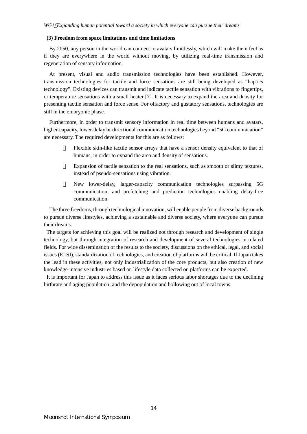#### **(3) Freedom from space limitations and time limitations**

By 2050, any person in the world can connect to avatars limitlessly, which will make them feel as if they are everywhere in the world without moving, by utilizing real-time transmission and regeneration of sensory information.

At present, visual and audio transmission technologies have been established. However, transmission technologies for tactile and force sensations are still being developed as "haptics technology". Existing devices can transmit and indicate tactile sensation with vibrations to fingertips, or temperature sensations with a small heater [7]. It is necessary to expand the area and density for presenting tactile sensation and force sense. For olfactory and gustatory sensations, technologies are still in the embryonic phase.

Furthermore, in order to transmit sensory information in real time between humans and avatars, higher-capacity, lower-delay bi-directional communication technologies beyond "5G communication" are necessary. The required developments for this are as follows:

> Flexible skin-like tactile sensor arrays that have a sensor density equivalent to that of humans, in order to expand the area and density of sensations.

> Expansion of tactile sensation to the real sensations, such as smooth or slimy textures, instead of pseudo-sensations using vibration.

> New lower-delay, larger-capacity communication technologies surpassing 5G communication, and prefetching and prediction technologies enabling delay-free communication.

The three freedoms, through technological innovation, will enable people from diverse backgrounds to pursue diverse lifestyles, achieving a sustainable and diverse society, where everyone can pursue their dreams.

The targets for achieving this goal will be realized not through research and development of single technology, but through integration of research and development of several technologies in related fields. For wide dissemination of the results to the society, discussions on the ethical, legal, and social issues (ELSI), standardization of technologies, and creation of platforms will be critical. If Japan takes the lead in these activities, not only industrialization of the core products, but also creation of new knowledge-intensive industries based on lifestyle data collected on platforms can be expected.

It is important for Japan to address this issue as it faces serious labor shortages due to the declining birthrate and aging population, and the depopulation and hollowing out of local towns.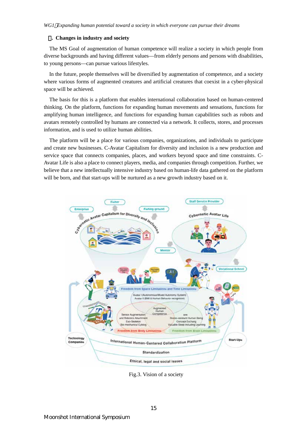#### 4**. Changes in industry and society**

The MS Goal of augmentation of human competence will realize a society in which people from diverse backgrounds and having different values—from elderly persons and persons with disabilities, to young persons—can pursue various lifestyles.

In the future, people themselves will be diversified by augmentation of competence, and a society where various forms of augmented creatures and artificial creatures that coexist in a cyber-physical space will be achieved.

The basis for this is a platform that enables international collaboration based on human-centered thinking. On the platform, functions for expanding human movements and sensations, functions for amplifying human intelligence, and functions for expanding human capabilities such as robots and avatars remotely controlled by humans are connected via a network. It collects, stores, and processes information, and is used to utilize human abilities.

The platform will be a place for various companies, organizations, and individuals to participate and create new businesses. C-Avatar Capitalism for diversity and inclusion is a new production and service space that connects companies, places, and workers beyond space and time constraints. C-Avatar Life is also a place to connect players, media, and companies through competition. Further, we believe that a new intellectually intensive industry based on human-life data gathered on the platform will be born, and that start-ups will be nurtured as a new growth industry based on it.



Fig.3. Vision of a society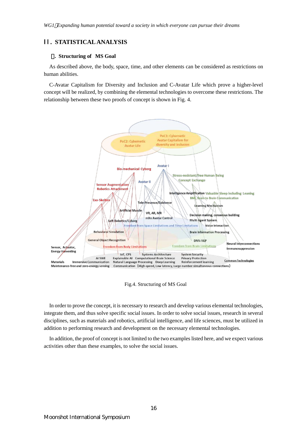## II. **STATISTICAL ANALYSIS**

#### 1**. Structuring of MS Goal**

As described above, the body, space, time, and other elements can be considered as restrictions on human abilities.

C-Avatar Capitalism for Diversity and Inclusion and C-Avatar Life which prove a higher-level concept will be realized, by combining the elemental technologies to overcome these restrictions. The relationship between these two proofs of concept is shown in Fig. 4.



Fig.4. Structuring of MS Goal

In order to prove the concept, it is necessary to research and develop various elemental technologies, integrate them, and thus solve specific social issues. In order to solve social issues, research in several disciplines, such as materials and robotics, artificial intelligence, and life sciences, must be utilized in addition to performing research and development on the necessary elemental technologies.

In addition, the proof of concept is not limited to the two examples listed here, and we expect various activities other than these examples, to solve the social issues.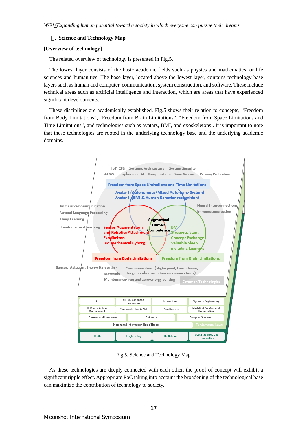#### 2**. Science and Technology Map**

#### **[Overview of technology]**

The related overview of technology is presented in Fig.5.

The lowest layer consists of the basic academic fields such as physics and mathematics, or life sciences and humanities. The base layer, located above the lowest layer, contains technology base layers such as human and computer, communication, system construction, and software. These include technical areas such as artificial intelligence and interaction, which are areas that have experienced significant developments.

These disciplines are academically established. Fig.5 shows their relation to concepts, "Freedom from Body Limitations", "Freedom from Brain Limitations", "Freedom from Space Limitations and Time Limitations", and technologies such as avatars, BMI, and exoskeletons . It is important to note that these technologies are rooted in the underlying technology base and the underlying academic domains.



Fig.5. Science and Technology Map

As these technologies are deeply connected with each other, the proof of concept will exhibit a significant ripple effect. Appropriate PoC taking into account the broadening of the technological base can maximize the contribution of technology to society.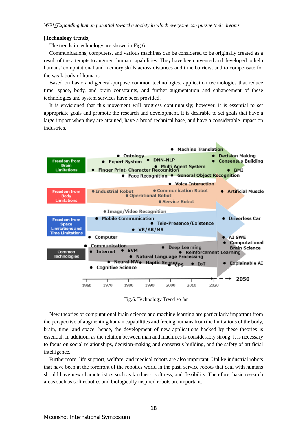#### **[Technology trends]**

The trends in technology are shown in Fig.6.

Communications, computers, and various machines can be considered to be originally created as a result of the attempts to augment human capabilities. They have been invented and developed to help humans' computational and memory skills across distances and time barriers, and to compensate for the weak body of humans.

Based on basic and general-purpose common technologies, application technologies that reduce time, space, body, and brain constraints, and further augmentation and enhancement of these technologies and system services have been provided.

It is envisioned that this movement will progress continuously; however, it is essential to set appropriate goals and promote the research and development. It is desirable to set goals that have a large impact when they are attained, have a broad technical base, and have a considerable impact on industries.



Fig.6. Technology Trend so far

New theories of computational brain science and machine learning are particularly important from the perspective of augmenting human capabilities and freeing humans from the limitations of the body, brain, time, and space; hence, the development of new applications backed by these theories is essential. In addition, as the relation between man and machines is considerably strong, it is necessary to focus on social relationships, decision-making and consensus building, and the safety of artificial intelligence.

Furthermore, life support, welfare, and medical robots are also important. Unlike industrial robots that have been at the forefront of the robotics world in the past, service robots that deal with humans should have new characteristics such as kindness, softness, and flexibility. Therefore, basic research areas such as soft robotics and biologically inspired robots are important.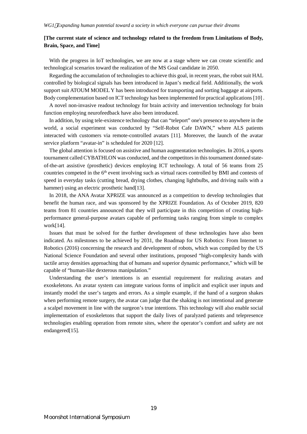## **[The current state of science and technology related to the freedom from Limitations of Body, Brain, Space, and Time]**

With the progress in IoT technologies, we are now at a stage where we can create scientific and technological scenarios toward the realization of the MS Goal candidate in 2050.

Regarding the accumulation of technologies to achieve this goal, in recent years, the robot suit HAL controlled by biological signals has been introduced in Japan's medical field. Additionally, the work support suit ATOUM MODEL Y has been introduced for transporting and sorting baggage at airports. Body complementation based on ICT technology has been implemented for practical applications[10] .

A novel non-invasive readout technology for brain activity and intervention technology for brain function employing neurofeedback have also been introduced.

In addition, by using tele-existence technology that can "teleport" one's presence to anywhere in the world, a social experiment was conducted by "Self-Robot Cafe DAWN," where ALS patients interacted with customers via remote-controlled avatars [11]. Moreover, the launch of the avatar service platform "avatar-in" is scheduled for 2020 [12].

The global attention is focused on assistive and human augmentation technologies. In 2016, a sports tournament called CYBATHLON was conducted, and the competitors in this tournament donned stateof-the-art assistive (prosthetic) devices employing ICT technology. A total of 56 teams from 25 countries competed in the 6<sup>th</sup> event involving such as virtual races controlled by BMI and contests of speed in everyday tasks (cutting bread, drying clothes, changing lightbulbs, and driving nails with a hammer) using an electric prosthetic hand [13].

In 2018, the ANA Avatar XPRIZE was announced as a competition to develop technologies that benefit the human race, and was sponsored by the XPRIZE Foundation. As of October 2019, 820 teams from 81 countries announced that they will participate in this competition of creating highperformance general-purpose avatars capable of performing tasks ranging from simple to complex work[14].

Issues that must be solved for the further development of these technologies have also been indicated. As milestones to be achieved by 2031, the Roadmap for US Robotics: From Internet to Robotics (2016) concerning the research and development of robots, which was compiled by the US National Science Foundation and several other institutions, proposed "high-complexity hands with tactile array densities approaching that of humans and superior dynamic performance," which will be capable of "human-like dexterous manipulation."

Understanding the user's intentions is an essential requirement for realizing avatars and exoskeletons. An avatar system can integrate various forms of implicit and explicit user inputs and instantly model the user's targets and errors. As a simple example, if the hand of a surgeon shakes when performing remote surgery, the avatar can judge that the shaking is not intentional and generate a scalpel movement in line with the surgeon's true intentions. This technology will also enable social implementation of exoskeletons that support the daily lives of paralyzed patients and telepresence technologies enabling operation from remote sites, where the operator's comfort and safety are not endangered<sup>[15]</sup>.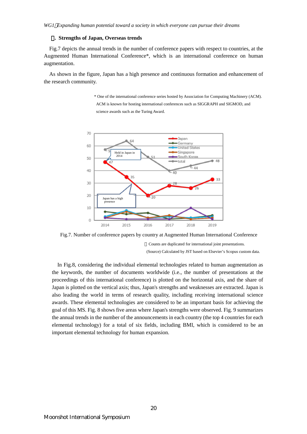#### 3**. Strengths of Japan, Overseas trends**

Fig.7 depicts the annual trends in the number of conference papers with respect to countries, at the Augmented Human International Conference\*, which is an international conference on human augmentation.

As shown in the figure, Japan has a high presence and continuous formation and enhancement of the research community.

> \* One of the international conference series hosted by Association for Computing Machinery (ACM). ACM is known for hosting international conferences such as SIGGRAPH and SIGMOD, and science awards such as the Turing Award.



Fig.7. Number of conference papers by country at Augmented Human International Conference

Counts are duplicated for international joint presentations. (Source) Calculated by JST based on Elsevier's Scopus custom data.

In Fig.8, considering the individual elemental technologies related to human augmentation as the keywords, the number of documents worldwide (i.e., the number of presentations at the proceedings of this international conference) is plotted on the horizontal axis, and the share of Japan is plotted on the vertical axis; thus, Japan's strengths and weaknesses are extracted. Japan is also leading the world in terms of research quality, including receiving international science awards. These elemental technologies are considered to be an important basis for achieving the goal of this MS. Fig. 8 shows five areas where Japan's strengths were observed. Fig. 9 summarizes the annual trends in the number of the announcements in each country (the top 4 countries for each elemental technology) for a total of six fields, including BMI, which is considered to be an important elemental technology for human expansion.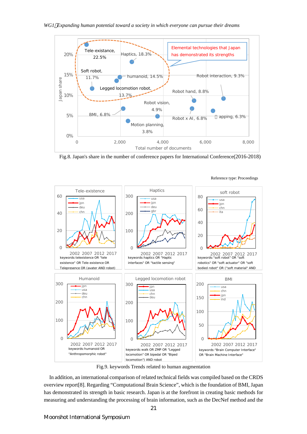

Fig.8. Japan's share in the number of conference papers for International Conference(2016-2018)



#### Reference type: Proceedings

Fig.9. keywords Trends related to human augmentation

In addition, an international comparison of related technical fields was compiled based on the CRDS overview report[8]. Regarding "Computational Brain Science", which is the foundation of BMI, Japan has demonstrated its strength in basic research. Japan is at the forefront in creating basic methods for measuring and understanding the processing of brain information, such as the DecNef method and the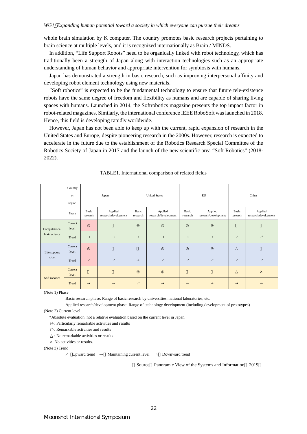whole brain simulation by K computer. The country promotes basic research projects pertaining to brain science at multiple levels, and it is recognized internationally as Brain / MINDS.

In addition, "Life Support Robots" need to be organically linked with robot technology, which has traditionally been a strength of Japan along with interaction technologies such as an appropriate understanding of human behavior and appropriate intervention for symbiosis with humans.

Japan has demonstrated a strength in basic research, such as improving interpersonal affinity and developing robot element technology using new materials.

"Soft robotics" is expected to be the fundamental technology to ensure that future tele-existence robots have the same degree of freedom and flexibility as humans and are capable of sharing living spaces with humans. Launched in 2014, the Softrobotics magazine presents the top impact factor in robot-related magazines. Similarly, the international conference IEEE RoboSoft was launched in 2018. Hence, this field is developing rapidly worldwide.

However, Japan has not been able to keep up with the current, rapid expansion of research in the United States and Europe, despite pioneering research in the 2000s. However, research is expected to accelerate in the future due to the establishment of the Robotics Research Special Committee of the Robotics Society of Japan in 2017 and the launch of the new scientific area "Soft Robotics" (2018- 2022).

|                                | Country<br>or<br>region | Japan                    |                                 | <b>United States</b>     |                                 | ${\rm EU}$        |                                 | China                    |                                 |
|--------------------------------|-------------------------|--------------------------|---------------------------------|--------------------------|---------------------------------|-------------------|---------------------------------|--------------------------|---------------------------------|
|                                | Phase                   | Basic<br>research        | Applied<br>research/development | Basic<br>research        | Applied<br>research/development | Basic<br>research | Applied<br>research/development | Basic<br>research        | Applied<br>research/development |
| Computational<br>brain science | Current<br>level        |                          |                                 |                          |                                 |                   |                                 |                          |                                 |
|                                | Trend                   |                          |                                 |                          |                                 |                   |                                 | $\overline{z}$           | $\overline{\phantom{a}}$        |
| Life support<br>robot          | Current<br>level        |                          |                                 |                          |                                 |                   |                                 |                          |                                 |
|                                | Trend                   | $\overline{\phantom{a}}$ | $\overline{\phantom{a}}$        |                          | $\overline{\phantom{a}}$        | $\boldsymbol{z}$  | $\overline{\phantom{a}}$        | $\overline{\phantom{a}}$ | $\overline{\phantom{a}}$        |
| Soft robotics                  | Current<br>level        |                          |                                 |                          |                                 |                   |                                 |                          | $\times$                        |
|                                | Trend                   |                          |                                 | $\overline{\phantom{a}}$ |                                 |                   |                                 |                          |                                 |

TABLE1. International comparison of related fields

(Note 1) Phase

Basic research phase: Range of basic research by universities, national laboratories, etc.

Applied research/development phase: Range of technology development (including development of prototypes) (Note 2) Current level

\*Absolute evaluation, not a relative evaluation based on the current level in Japan.

: Particularly remarkable activities and results

: Remarkable activities and results

: No remarkable activities or results

×: No activities or results.

(Note 3) Trend

↗ Upward trend → Maintaining current level ↘ Downward trend

Source Panoramic View of the Systems and Information 2019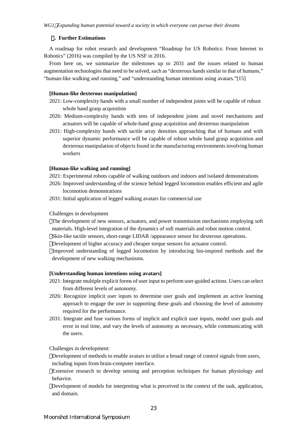#### 4**. Further Estimations**

A roadmap for robot research and development "Roadmap for US Robotics: From Internet to Robotics" (2016) was compiled by the US NSF in 2016.

From here on, we summarize the milestones up to 2031 and the issues related to human augmentation technologies that need to be solved, such as "dexterous hands similar to that of humans," "human-like walking and running," and "understanding human intentions using avatars."[15]

#### **[Human-like dexterous manipulation]**

- 2021: Low-complexity hands with a small number of independent joints will be capable of robust whole hand grasp acquisition
- 2026: Medium-complexity hands with tens of independent joints and novel mechanisms and actuators will be capable of whole-hand grasp acquisition and dexterous manipulation
- 2031: High-complexity hands with tactile array densities approaching that of humans and with superior dynamic performance will be capable of robust whole hand grasp acquisition and dexterous manipulation of objects found in the manufacturing environments involving human workers

#### **[Human-like walking and running]**

- 2021: Experimental robots capable of walking outdoors and indoors and isolated demonstrations
- 2026: Improved understanding of the science behind legged locomotion enables efficient and agile locomotion demonstrations
- 2031: Initial application of legged walking avatars for commercial use

#### Challenges in development

The development of new sensors, actuators, and power transmission mechanisms employing soft materials. High-level integration of the dynamics of soft materials and robot motion control. Skin-like tactile sensors, short-range LIDAR /appearance sensor for dexterous operations. Development of higher accuracy and cheaper torque sensors for actuator control.

Improved understanding of legged locomotion by introducing bio-inspired methods and the development of new walking mechanisms.

### **[Understanding human intentions using avatars]**

- 2021: Integrate multiple explicit forms of user input to perform user-guided actions. Users can select from different levels of autonomy.
- 2026: Recognize implicit user inputs to determine user goals and implement an active learning approach to engage the user in supporting these goals and choosing the level of autonomy required for the performance.
- 2031: Integrate and fuse various forms of implicit and explicit user inputs, model user goals and error in real time, and vary the levels of autonomy as necessary, while communicating with the users.

Challenges in development:

Development of methods to enable avatars to utilize a broad range of control signals from users, including inputs from brain-computer interface.

Extensive research to develop sensing and perception techniques for human physiology and behavior.

Development of models for interpreting what is perceived in the context of the task, application, and domain.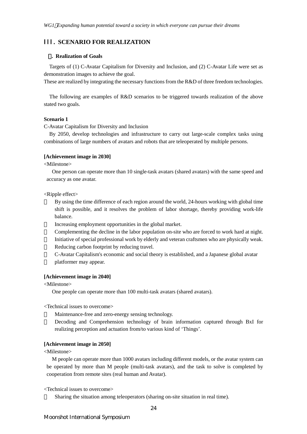## III. **SCENARIO FOR REALIZATION**

#### 1**. Realization of Goals**

Targets of (1) C-Avatar Capitalism for Diversity and Inclusion, and (2) C-Avatar Life were set as demonstration images to achieve the goal.

These are realized by integrating the necessary functions from the R&D of three freedom technologies.

The following are examples of R&D scenarios to be triggered towards realization of the above stated two goals.

#### **Scenario 1**

C-Avatar Capitalism for Diversity and Inclusion

By 2050, develop technologies and infrastructure to carry out large-scale complex tasks using combinations of large numbers of avatars and robots that are teleoperated by multiple persons.

#### **[Achievement image in 2030]**

<Milestone>

One person can operate more than 10 single-task avatars (shared avatars) with the same speed and accuracy as one avatar.

<Ripple effect>

By using the time difference of each region around the world, 24-hours working with global time shift is possible, and it resolves the problem of labor shortage, thereby providing work-life balance.

Increasing employment opportunities in the global market.

Complementing the decline in the labor population on-site who are forced to work hard at night. Initiative of special professional work by elderly and veteran craftsmen who are physically weak. Reducing carbon footprint by reducing travel.

C-Avatar Capitalism's economic and social theory is established, and a Japanese global avatar platformer may appear.

#### **[Achievement image in 2040]**

<Milestone>

One people can operate more than 100 multi-task avatars (shared avatars).

<Technical issues to overcome>

Maintenance-free and zero-energy sensing technology.

Decoding and Comprehension technology of brain information captured through BxI for realizing perception and actuation from/to various kind of 'Things'.

#### **[Achievement image in 2050]**

<Milestone>

M people can operate more than 1000 avatars including different models, or the avatar system can be operated by more than M people (multi-task avatars), and the task to solve is completed by cooperation from remote sites (real human and Avatar).

<Technical issues to overcome>

Sharing the situation among teleoperators (sharing on-site situation in real time).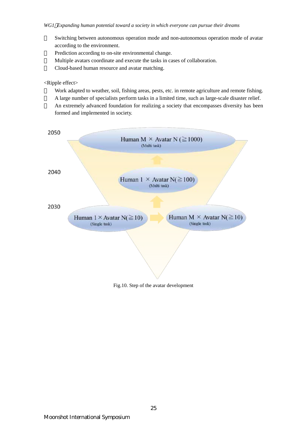Switching between autonomous operation mode and non-autonomous operation mode of avatar according to the environment.

Prediction according to on-site environmental change.

Multiple avatars coordinate and execute the tasks in cases of collaboration.

Cloud-based human resource and avatar matching.

<Ripple effect>

Work adapted to weather, soil, fishing areas, pests, etc. in remote agriculture and remote fishing. A large number of specialists perform tasks in a limited time, such as large-scale disaster relief. An extremely advanced foundation for realizing a society that encompasses diversity has been formed and implemented in society.

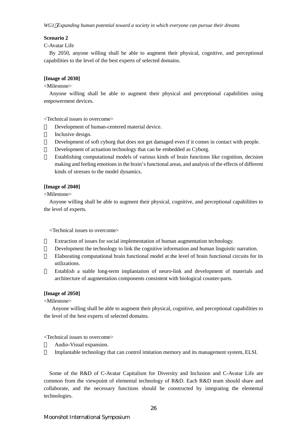#### **Scenario 2**

#### C-Avatar Life

By 2050, anyone willing shall be able to augment their physical, cognitive, and perceptional capabilities to the level of the best experts of selected domains.

#### **[Image of 2030]**

## <Milestone>

Anyone willing shall be able to augment their physical and perceptional capabilities using empowerment devices.

<Technical issues to overcome>

Development of human-centered material device.

Inclusive design.

Development of soft cyborg that does not get damaged even if it comes in contact with people. Development of actuation technology that can be embedded as Cyborg.

Establishing computational models of various kinds of brain functions like cognition, decision making and feeling emotionsin the brain'sfunctional areas, and analysis of the effects of different kinds of stresses to the model dynamics.

#### **[Image of 2040]**

<Milestone>

Anyone willing shall be able to augment their physical, cognitive, and perceptional capabilities to the level of experts.

#### <Technical issues to overcome>

Extraction of issues for social implementation of human augmentation technology.

Development the technology to link the cognitive information and human linguistic narration. Elaborating computational brain functional model at the level of brain functional circuits for its utilizations.

Establish a stable long-term implantation of neuro-link and development of materials and architecture of augmentation components consistent with biological counter-parts.

#### **[Image of 2050]**

<Milestone>

Anyone willing shall be able to augment their physical, cognitive, and perceptional capabilities to the level of the best experts of selected domains.

<Technical issues to overcome>

Audio-Visual expansion.

Implantable technology that can control imitation memory and its management system, ELSI.

Some of the R&D of C-Avatar Capitalism for Diversity and Inclusion and C-Avatar Life are common from the viewpoint of elemental technology of R&D. Each R&D team should share and collaborate, and the necessary functions should be constructed by integrating the elemental technologies.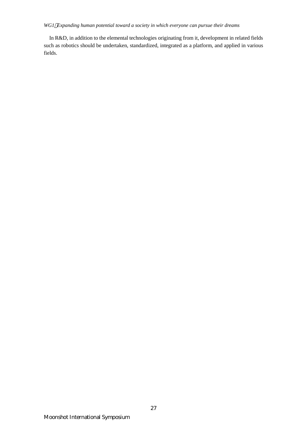In R&D, in addition to the elemental technologies originating from it, development in related fields such as robotics should be undertaken, standardized, integrated as a platform, and applied in various fields.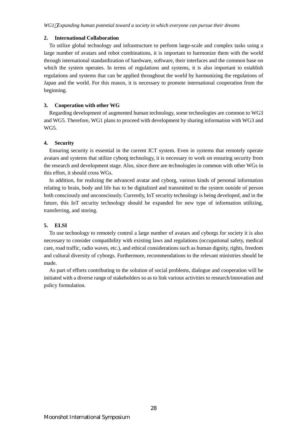#### **2. International Collaboration**

To utilize global technology and infrastructure to perform large-scale and complex tasks using a large number of avatars and robot combinations, it is important to harmonize them with the world through international standardization of hardware, software, their interfaces and the common base on which the system operates. In terms of regulations and systems, it is also important to establish regulations and systems that can be applied throughout the world by harmonizing the regulations of Japan and the world. For this reason, it is necessary to promote international cooperation from the beginning.

#### **3. Cooperation with other WG**

Regarding development of augmented human technology, some technologies are common to WG3 and WG5. Therefore, WG1 plans to proceed with development by sharing information with WG3 and WG5.

#### **4. Security**

Ensuring security is essential in the current ICT system. Even in systems that remotely operate avatars and systems that utilize cyborg technology, it is necessary to work on ensuring security from the research and development stage. Also, since there are technologies in common with other WGs in this effort, it should cross WGs.

In addition, for realizing the advanced avatar and cyborg, various kinds of personal information relating to brain, body and life has to be digitalized and transmitted to the system outside of person both consciously and unconsciously. Currently, IoT security technology is being developed, and in the future, this IoT security technology should be expanded for new type of information utilizing, transferring, and storing.

#### **5. ELSI**

To use technology to remotely control a large number of avatars and cyborgs for society it is also necessary to consider compatibility with existing laws and regulations (occupational safety, medical care, road traffic, radio waves, etc.), and ethical considerations such as human dignity, rights, freedom and cultural diversity of cyborgs. Furthermore, recommendations to the relevant ministries should be made.

 As part of efforts contributing to the solution of social problems, dialogue and cooperation will be initiated with a diverse range of stakeholders so as to link various activities to research/innovation and policy formulation.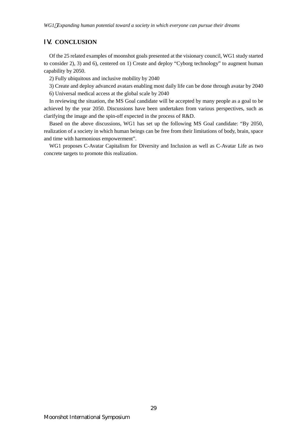## IV. **CONCLUSION**

Of the 25 related examples of moonshot goals presented at the visionary council, WG1 study started to consider 2), 3) and 6), centered on 1) Create and deploy "Cyborg technology" to augment human capability by 2050.

2) Fully ubiquitous and inclusive mobility by 2040

3) Create and deploy advanced avatars enabling most daily life can be done through avatar by 2040

6) Universal medical access at the global scale by 2040

In reviewing the situation, the MS Goal candidate will be accepted by many people as a goal to be achieved by the year 2050. Discussions have been undertaken from various perspectives, such as clarifying the image and the spin-off expected in the process of R&D.

Based on the above discussions, WG1 has set up the following MS Goal candidate: "By 2050, realization of a society in which human beings can be free from their limitations of body, brain, space and time with harmonious empowerment".

WG1 proposes C-Avatar Capitalism for Diversity and Inclusion as well as C-Avatar Life as two concrete targets to promote this realization.